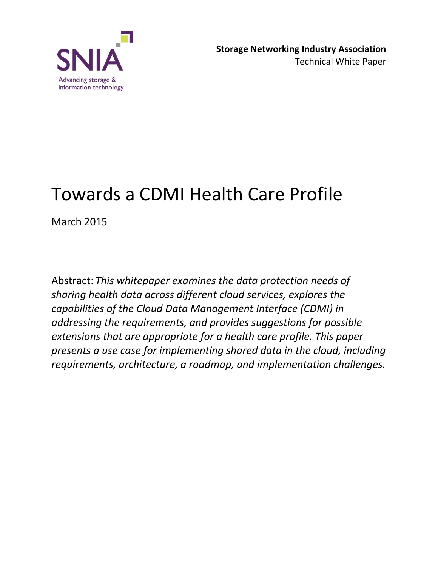

# Towards a CDMI Health Care Profile

March 2015

Abstract: *This whitepaper examines the data protection needs of sharing health data across different cloud services, explores the capabilities of the Cloud Data Management Interface (CDMI) in addressing the requirements, and provides suggestions for possible extensions that are appropriate for a health care profile. This paper presents a use case for implementing shared data in the cloud, including requirements, architecture, a roadmap, and implementation challenges.*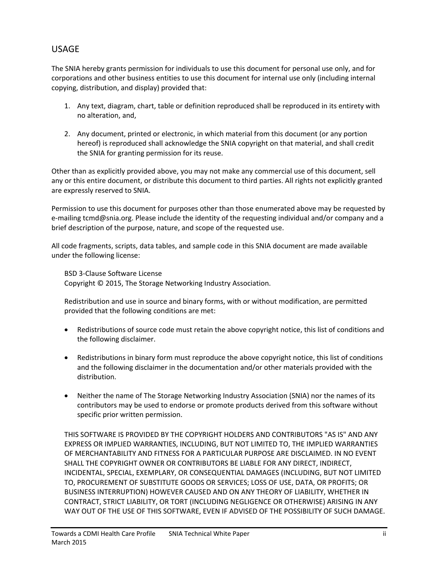### USAGE

The SNIA hereby grants permission for individuals to use this document for personal use only, and for corporations and other business entities to use this document for internal use only (including internal copying, distribution, and display) provided that:

- 1. Any text, diagram, chart, table or definition reproduced shall be reproduced in its entirety with no alteration, and,
- 2. Any document, printed or electronic, in which material from this document (or any portion hereof) is reproduced shall acknowledge the SNIA copyright on that material, and shall credit the SNIA for granting permission for its reuse.

Other than as explicitly provided above, you may not make any commercial use of this document, sell any or this entire document, or distribute this document to third parties. All rights not explicitly granted are expressly reserved to SNIA.

Permission to use this document for purposes other than those enumerated above may be requested by e-mailing tcmd@snia.org. Please include the identity of the requesting individual and/or company and a brief description of the purpose, nature, and scope of the requested use.

All code fragments, scripts, data tables, and sample code in this SNIA document are made available under the following license:

BSD 3-Clause Software License Copyright © 2015, The Storage Networking Industry Association.

Redistribution and use in source and binary forms, with or without modification, are permitted provided that the following conditions are met:

- Redistributions of source code must retain the above copyright notice, this list of conditions and the following disclaimer.
- Redistributions in binary form must reproduce the above copyright notice, this list of conditions and the following disclaimer in the documentation and/or other materials provided with the distribution.
- Neither the name of The Storage Networking Industry Association (SNIA) nor the names of its contributors may be used to endorse or promote products derived from this software without specific prior written permission.

THIS SOFTWARE IS PROVIDED BY THE COPYRIGHT HOLDERS AND CONTRIBUTORS "AS IS" AND ANY EXPRESS OR IMPLIED WARRANTIES, INCLUDING, BUT NOT LIMITED TO, THE IMPLIED WARRANTIES OF MERCHANTABILITY AND FITNESS FOR A PARTICULAR PURPOSE ARE DISCLAIMED. IN NO EVENT SHALL THE COPYRIGHT OWNER OR CONTRIBUTORS BE LIABLE FOR ANY DIRECT, INDIRECT, INCIDENTAL, SPECIAL, EXEMPLARY, OR CONSEQUENTIAL DAMAGES (INCLUDING, BUT NOT LIMITED TO, PROCUREMENT OF SUBSTITUTE GOODS OR SERVICES; LOSS OF USE, DATA, OR PROFITS; OR BUSINESS INTERRUPTION) HOWEVER CAUSED AND ON ANY THEORY OF LIABILITY, WHETHER IN CONTRACT, STRICT LIABILITY, OR TORT (INCLUDING NEGLIGENCE OR OTHERWISE) ARISING IN ANY WAY OUT OF THE USE OF THIS SOFTWARE, EVEN IF ADVISED OF THE POSSIBILITY OF SUCH DAMAGE.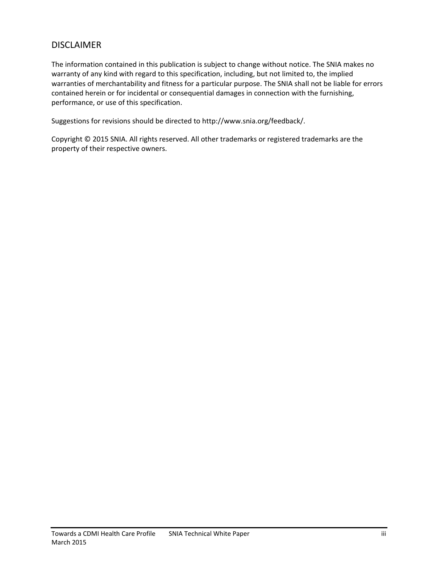### DISCLAIMER

The information contained in this publication is subject to change without notice. The SNIA makes no warranty of any kind with regard to this specification, including, but not limited to, the implied warranties of merchantability and fitness for a particular purpose. The SNIA shall not be liable for errors contained herein or for incidental or consequential damages in connection with the furnishing, performance, or use of this specification.

Suggestions for revisions should be directed to http://www.snia.org/feedback/.

Copyright © 2015 SNIA. All rights reserved. All other trademarks or registered trademarks are the property of their respective owners.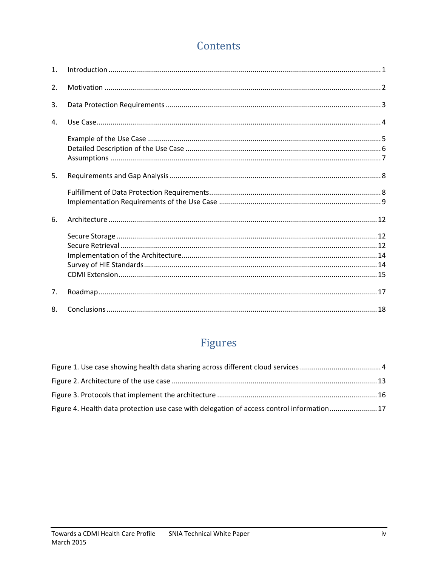# Contents

| $\mathbf{1}$ . |  |
|----------------|--|
| 2.             |  |
| 3.             |  |
| 4.             |  |
|                |  |
| 5.             |  |
|                |  |
| 6.             |  |
|                |  |
| 7 <sub>1</sub> |  |
| 8.             |  |

# Figures

| Figure 4. Health data protection use case with delegation of access control information17 |  |
|-------------------------------------------------------------------------------------------|--|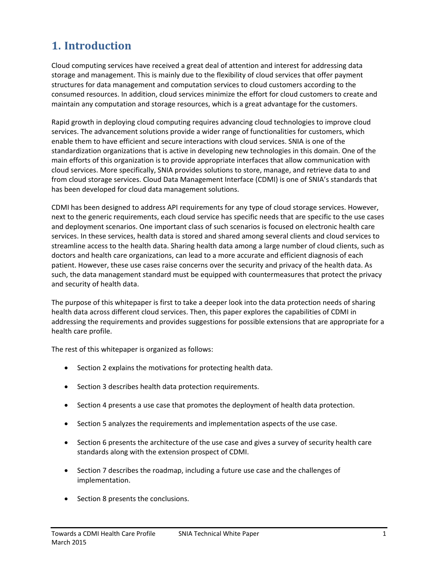# <span id="page-4-0"></span>**1. Introduction**

Cloud computing services have received a great deal of attention and interest for addressing data storage and management. This is mainly due to the flexibility of cloud services that offer payment structures for data management and computation services to cloud customers according to the consumed resources. In addition, cloud services minimize the effort for cloud customers to create and maintain any computation and storage resources, which is a great advantage for the customers.

Rapid growth in deploying cloud computing requires advancing cloud technologies to improve cloud services. The advancement solutions provide a wider range of functionalities for customers, which enable them to have efficient and secure interactions with cloud services. SNIA is one of the standardization organizations that is active in developing new technologies in this domain. One of the main efforts of this organization is to provide appropriate interfaces that allow communication with cloud services. More specifically, SNIA provides solutions to store, manage, and retrieve data to and from cloud storage services. Cloud Data Management Interface (CDMI) is one of SNIA's standards that has been developed for cloud data management solutions.

CDMI has been designed to address API requirements for any type of cloud storage services. However, next to the generic requirements, each cloud service has specific needs that are specific to the use cases and deployment scenarios. One important class of such scenarios is focused on electronic health care services. In these services, health data is stored and shared among several clients and cloud services to streamline access to the health data. Sharing health data among a large number of cloud clients, such as doctors and health care organizations, can lead to a more accurate and efficient diagnosis of each patient. However, these use cases raise concerns over the security and privacy of the health data. As such, the data management standard must be equipped with countermeasures that protect the privacy and security of health data.

The purpose of this whitepaper is first to take a deeper look into the data protection needs of sharing health data across different cloud services. Then, this paper explores the capabilities of CDMI in addressing the requirements and provides suggestions for possible extensions that are appropriate for a health care profile.

The rest of this whitepaper is organized as follows:

- Section 2 explains the motivations for protecting health data.
- Section 3 describes health data protection requirements.
- Section 4 presents a use case that promotes the deployment of health data protection.
- Section 5 analyzes the requirements and implementation aspects of the use case.
- Section 6 presents the architecture of the use case and gives a survey of security health care standards along with the extension prospect of CDMI.
- Section 7 describes the roadmap, including a future use case and the challenges of implementation.
- Section 8 presents the conclusions.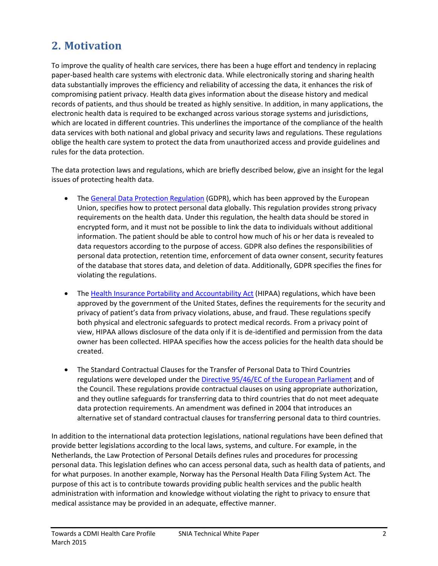# <span id="page-5-0"></span>**2. Motivation**

To improve the quality of health care services, there has been a huge effort and tendency in replacing paper-based health care systems with electronic data. While electronically storing and sharing health data substantially improves the efficiency and reliability of accessing the data, it enhances the risk of compromising patient privacy. Health data gives information about the disease history and medical records of patients, and thus should be treated as highly sensitive. In addition, in many applications, the electronic health data is required to be exchanged across various storage systems and jurisdictions, which are located in different countries. This underlines the importance of the compliance of the health data services with both national and global privacy and security laws and regulations. These regulations oblige the health care system to protect the data from unauthorized access and provide guidelines and rules for the data protection.

The data protection laws and regulations, which are briefly described below, give an insight for the legal issues of protecting health data.

- The [General Data Protection Regulation](http://www.europarl.europa.eu/sides/getDoc.do?pubRef=-//EP//TEXT+TA+P7-TA-2014-0212+0+DOC+XML+V0//EN) (GDPR), which has been approved by the European Union, specifies how to protect personal data globally. This regulation provides strong privacy requirements on the health data. Under this regulation, the health data should be stored in encrypted form, and it must not be possible to link the data to individuals without additional information. The patient should be able to control how much of his or her data is revealed to data requestors according to the purpose of access. GDPR also defines the responsibilities of personal data protection, retention time, enforcement of data owner consent, security features of the database that stores data, and deletion of data. Additionally, GDPR specifies the fines for violating the regulations.
- The [Health Insurance Portability and Accountability Act](http://www.hhs.gov/ocr/privacy/) (HIPAA) regulations, which have been approved by the government of the United States, defines the requirements for the security and privacy of patient's data from privacy violations, abuse, and fraud. These regulations specify both physical and electronic safeguards to protect medical records. From a privacy point of view, HIPAA allows disclosure of the data only if it is de-identified and permission from the data owner has been collected. HIPAA specifies how the access policies for the health data should be created.
- The Standard Contractual Clauses for the Transfer of Personal Data to Third Countries regulations were developed under the [Directive 95/46/EC of the European Parliament](https://www.dataprotection.ie/docs/EU-Directive-95-46-EC/89.htm) and of the Council. These regulations provide contractual clauses on using appropriate authorization, and they outline safeguards for transferring data to third countries that do not meet adequate data protection requirements. An amendment was defined in 2004 that introduces an alternative set of standard contractual clauses for transferring personal data to third countries.

In addition to the international data protection legislations, national regulations have been defined that provide better legislations according to the local laws, systems, and culture. For example, in the Netherlands, the Law Protection of Personal Details defines rules and procedures for processing personal data. This legislation defines who can access personal data, such as health data of patients, and for what purposes. In another example, Norway has the Personal Health Data Filing System Act. The purpose of this act is to contribute towards providing public health services and the public health administration with information and knowledge without violating the right to privacy to ensure that medical assistance may be provided in an adequate, effective manner.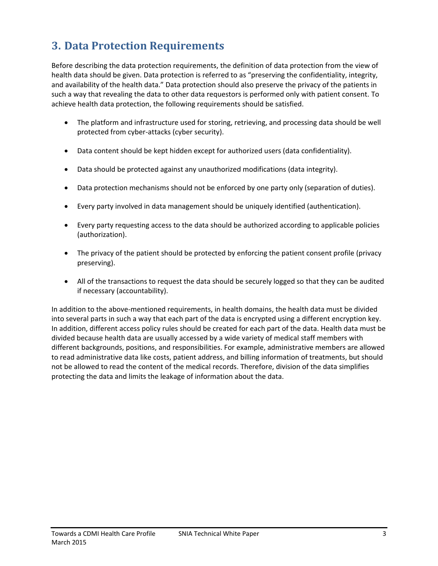# <span id="page-6-0"></span>**3. Data Protection Requirements**

Before describing the data protection requirements, the definition of data protection from the view of health data should be given. Data protection is referred to as "preserving the confidentiality, integrity, and availability of the health data." Data protection should also preserve the privacy of the patients in such a way that revealing the data to other data requestors is performed only with patient consent. To achieve health data protection, the following requirements should be satisfied.

- The platform and infrastructure used for storing, retrieving, and processing data should be well protected from cyber-attacks (cyber security).
- Data content should be kept hidden except for authorized users (data confidentiality).
- Data should be protected against any unauthorized modifications (data integrity).
- Data protection mechanisms should not be enforced by one party only (separation of duties).
- Every party involved in data management should be uniquely identified (authentication).
- Every party requesting access to the data should be authorized according to applicable policies (authorization).
- The privacy of the patient should be protected by enforcing the patient consent profile (privacy preserving).
- All of the transactions to request the data should be securely logged so that they can be audited if necessary (accountability).

In addition to the above-mentioned requirements, in health domains, the health data must be divided into several parts in such a way that each part of the data is encrypted using a different encryption key. In addition, different access policy rules should be created for each part of the data. Health data must be divided because health data are usually accessed by a wide variety of medical staff members with different backgrounds, positions, and responsibilities. For example, administrative members are allowed to read administrative data like costs, patient address, and billing information of treatments, but should not be allowed to read the content of the medical records. Therefore, division of the data simplifies protecting the data and limits the leakage of information about the data.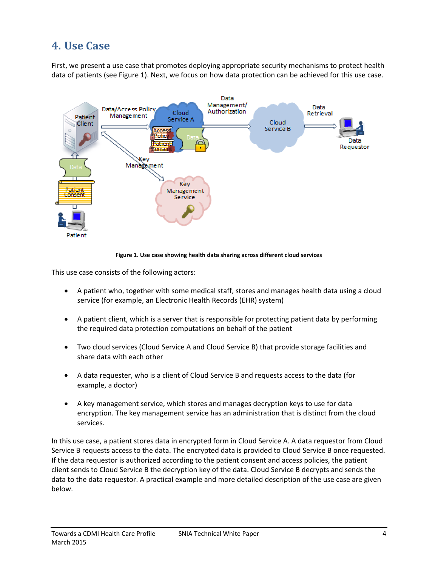# <span id="page-7-0"></span>**4. Use Case**

First, we present a use case that promotes deploying appropriate security mechanisms to protect health data of patients (see [Figure 1\)](#page-7-1). Next, we focus on how data protection can be achieved for this use case.



**Figure 1. Use case showing health data sharing across different cloud services**

<span id="page-7-1"></span>This use case consists of the following actors:

- A patient who, together with some medical staff, stores and manages health data using a cloud service (for example, an Electronic Health Records (EHR) system)
- A patient client, which is a server that is responsible for protecting patient data by performing the required data protection computations on behalf of the patient
- Two cloud services (Cloud Service A and Cloud Service B) that provide storage facilities and share data with each other
- A data requester, who is a client of Cloud Service B and requests access to the data (for example, a doctor)
- A key management service, which stores and manages decryption keys to use for data encryption. The key management service has an administration that is distinct from the cloud services.

In this use case, a patient stores data in encrypted form in Cloud Service A. A data requestor from Cloud Service B requests access to the data. The encrypted data is provided to Cloud Service B once requested. If the data requestor is authorized according to the patient consent and access policies, the patient client sends to Cloud Service B the decryption key of the data. Cloud Service B decrypts and sends the data to the data requestor. A practical example and more detailed description of the use case are given below.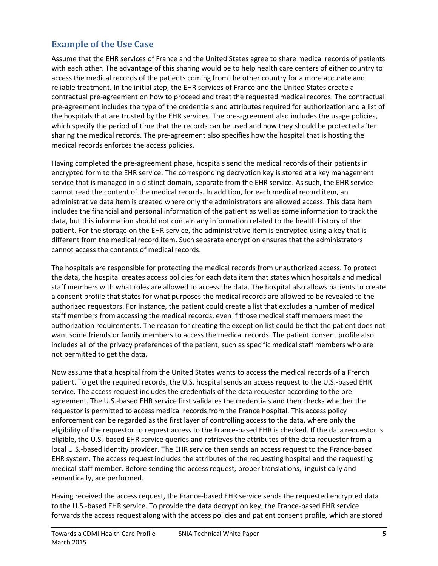# <span id="page-8-0"></span>**Example of the Use Case**

Assume that the EHR services of France and the United States agree to share medical records of patients with each other. The advantage of this sharing would be to help health care centers of either country to access the medical records of the patients coming from the other country for a more accurate and reliable treatment. In the initial step, the EHR services of France and the United States create a contractual pre-agreement on how to proceed and treat the requested medical records. The contractual pre-agreement includes the type of the credentials and attributes required for authorization and a list of the hospitals that are trusted by the EHR services. The pre-agreement also includes the usage policies, which specify the period of time that the records can be used and how they should be protected after sharing the medical records. The pre-agreement also specifies how the hospital that is hosting the medical records enforces the access policies.

Having completed the pre-agreement phase, hospitals send the medical records of their patients in encrypted form to the EHR service. The corresponding decryption key is stored at a key management service that is managed in a distinct domain, separate from the EHR service. As such, the EHR service cannot read the content of the medical records. In addition, for each medical record item, an administrative data item is created where only the administrators are allowed access. This data item includes the financial and personal information of the patient as well as some information to track the data, but this information should not contain any information related to the health history of the patient. For the storage on the EHR service, the administrative item is encrypted using a key that is different from the medical record item. Such separate encryption ensures that the administrators cannot access the contents of medical records.

The hospitals are responsible for protecting the medical records from unauthorized access. To protect the data, the hospital creates access policies for each data item that states which hospitals and medical staff members with what roles are allowed to access the data. The hospital also allows patients to create a consent profile that states for what purposes the medical records are allowed to be revealed to the authorized requestors. For instance, the patient could create a list that excludes a number of medical staff members from accessing the medical records, even if those medical staff members meet the authorization requirements. The reason for creating the exception list could be that the patient does not want some friends or family members to access the medical records. The patient consent profile also includes all of the privacy preferences of the patient, such as specific medical staff members who are not permitted to get the data.

Now assume that a hospital from the United States wants to access the medical records of a French patient. To get the required records, the U.S. hospital sends an access request to the U.S.-based EHR service. The access request includes the credentials of the data requestor according to the preagreement. The U.S.-based EHR service first validates the credentials and then checks whether the requestor is permitted to access medical records from the France hospital. This access policy enforcement can be regarded as the first layer of controlling access to the data, where only the eligibility of the requestor to request access to the France-based EHR is checked. If the data requestor is eligible, the U.S.-based EHR service queries and retrieves the attributes of the data requestor from a local U.S.-based identity provider. The EHR service then sends an access request to the France-based EHR system. The access request includes the attributes of the requesting hospital and the requesting medical staff member. Before sending the access request, proper translations, linguistically and semantically, are performed.

Having received the access request, the France-based EHR service sends the requested encrypted data to the U.S.-based EHR service. To provide the data decryption key, the France-based EHR service forwards the access request along with the access policies and patient consent profile, which are stored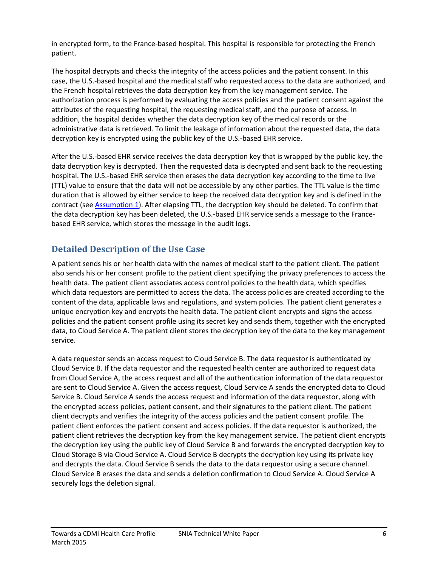in encrypted form, to the France-based hospital. This hospital is responsible for protecting the French patient.

The hospital decrypts and checks the integrity of the access policies and the patient consent. In this case, the U.S.-based hospital and the medical staff who requested access to the data are authorized, and the French hospital retrieves the data decryption key from the key management service. The authorization process is performed by evaluating the access policies and the patient consent against the attributes of the requesting hospital, the requesting medical staff, and the purpose of access. In addition, the hospital decides whether the data decryption key of the medical records or the administrative data is retrieved. To limit the leakage of information about the requested data, the data decryption key is encrypted using the public key of the U.S.-based EHR service.

After the U.S.-based EHR service receives the data decryption key that is wrapped by the public key, the data decryption key is decrypted. Then the requested data is decrypted and sent back to the requesting hospital. The U.S.-based EHR service then erases the data decryption key according to the time to live (TTL) value to ensure that the data will not be accessible by any other parties. The TTL value is the time duration that is allowed by either service to keep the received data decryption key and is defined in the contract (see [Assumption 1\)](#page-10-1). After elapsing TTL, the decryption key should be deleted. To confirm that the data decryption key has been deleted, the U.S.-based EHR service sends a message to the Francebased EHR service, which stores the message in the audit logs.

# <span id="page-9-0"></span>**Detailed Description of the Use Case**

A patient sends his or her health data with the names of medical staff to the patient client. The patient also sends his or her consent profile to the patient client specifying the privacy preferences to access the health data. The patient client associates access control policies to the health data, which specifies which data requestors are permitted to access the data. The access policies are created according to the content of the data, applicable laws and regulations, and system policies. The patient client generates a unique encryption key and encrypts the health data. The patient client encrypts and signs the access policies and the patient consent profile using its secret key and sends them, together with the encrypted data, to Cloud Service A. The patient client stores the decryption key of the data to the key management service.

A data requestor sends an access request to Cloud Service B. The data requestor is authenticated by Cloud Service B. If the data requestor and the requested health center are authorized to request data from Cloud Service A, the access request and all of the authentication information of the data requestor are sent to Cloud Service A. Given the access request, Cloud Service A sends the encrypted data to Cloud Service B. Cloud Service A sends the access request and information of the data requestor, along with the encrypted access policies, patient consent, and their signatures to the patient client. The patient client decrypts and verifies the integrity of the access policies and the patient consent profile. The patient client enforces the patient consent and access policies. If the data requestor is authorized, the patient client retrieves the decryption key from the key management service. The patient client encrypts the decryption key using the public key of Cloud Service B and forwards the encrypted decryption key to Cloud Storage B via Cloud Service A. Cloud Service B decrypts the decryption key using its private key and decrypts the data. Cloud Service B sends the data to the data requestor using a secure channel. Cloud Service B erases the data and sends a deletion confirmation to Cloud Service A. Cloud Service A securely logs the deletion signal.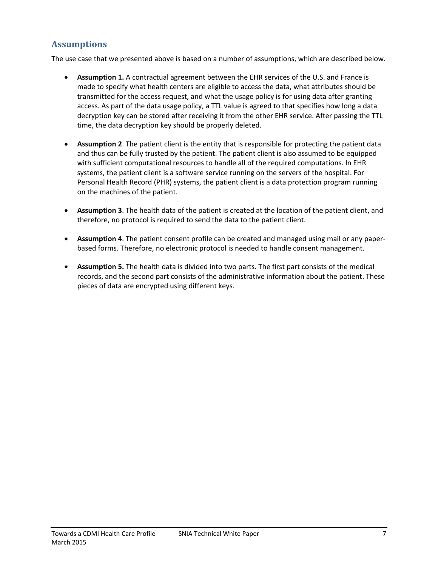# <span id="page-10-0"></span>**Assumptions**

<span id="page-10-1"></span>The use case that we presented above is based on a number of assumptions, which are described below.

- **Assumption 1.** A contractual agreement between the EHR services of the U.S. and France is made to specify what health centers are eligible to access the data, what attributes should be transmitted for the access request, and what the usage policy is for using data after granting access. As part of the data usage policy, a TTL value is agreed to that specifies how long a data decryption key can be stored after receiving it from the other EHR service. After passing the TTL time, the data decryption key should be properly deleted.
- <span id="page-10-2"></span> **Assumption 2**. The patient client is the entity that is responsible for protecting the patient data and thus can be fully trusted by the patient. The patient client is also assumed to be equipped with sufficient computational resources to handle all of the required computations. In EHR systems, the patient client is a software service running on the servers of the hospital. For Personal Health Record (PHR) systems, the patient client is a data protection program running on the machines of the patient.
- **Assumption 3**. The health data of the patient is created at the location of the patient client, and therefore, no protocol is required to send the data to the patient client.
- **Assumption 4**. The patient consent profile can be created and managed using mail or any paperbased forms. Therefore, no electronic protocol is needed to handle consent management.
- **Assumption 5.** The health data is divided into two parts. The first part consists of the medical records, and the second part consists of the administrative information about the patient. These pieces of data are encrypted using different keys.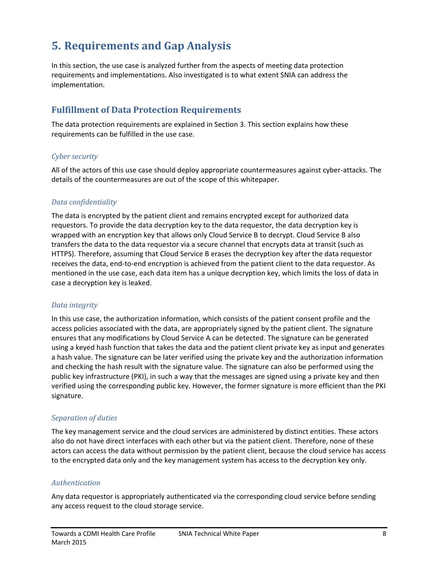# <span id="page-11-0"></span>**5. Requirements and Gap Analysis**

In this section, the use case is analyzed further from the aspects of meeting data protection requirements and implementations. Also investigated is to what extent SNIA can address the implementation.

## <span id="page-11-1"></span>**Fulfillment of Data Protection Requirements**

The data protection requirements are explained in Section [3.](#page-6-0) This section explains how these requirements can be fulfilled in the use case.

#### *Cyber security*

All of the actors of this use case should deploy appropriate countermeasures against cyber-attacks. The details of the countermeasures are out of the scope of this whitepaper.

#### *Data confidentiality*

The data is encrypted by the patient client and remains encrypted except for authorized data requestors. To provide the data decryption key to the data requestor, the data decryption key is wrapped with an encryption key that allows only Cloud Service B to decrypt. Cloud Service B also transfers the data to the data requestor via a secure channel that encrypts data at transit (such as HTTPS). Therefore, assuming that Cloud Service B erases the decryption key after the data requestor receives the data, end-to-end encryption is achieved from the patient client to the data requestor. As mentioned in the use case, each data item has a unique decryption key, which limits the loss of data in case a decryption key is leaked.

#### *Data integrity*

In this use case, the authorization information, which consists of the patient consent profile and the access policies associated with the data, are appropriately signed by the patient client. The signature ensures that any modifications by Cloud Service A can be detected. The signature can be generated using a keyed hash function that takes the data and the patient client private key as input and generates a hash value. The signature can be later verified using the private key and the authorization information and checking the hash result with the signature value. The signature can also be performed using the public key infrastructure (PKI), in such a way that the messages are signed using a private key and then verified using the corresponding public key. However, the former signature is more efficient than the PKI signature.

#### *Separation of duties*

The key management service and the cloud services are administered by distinct entities. These actors also do not have direct interfaces with each other but via the patient client. Therefore, none of these actors can access the data without permission by the patient client, because the cloud service has access to the encrypted data only and the key management system has access to the decryption key only.

#### *Authentication*

Any data requestor is appropriately authenticated via the corresponding cloud service before sending any access request to the cloud storage service.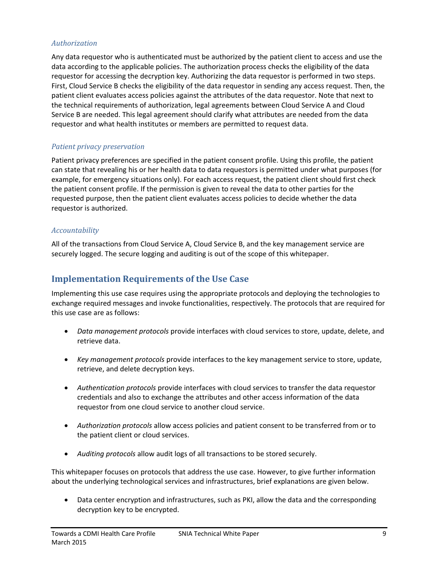#### *Authorization*

Any data requestor who is authenticated must be authorized by the patient client to access and use the data according to the applicable policies. The authorization process checks the eligibility of the data requestor for accessing the decryption key. Authorizing the data requestor is performed in two steps. First, Cloud Service B checks the eligibility of the data requestor in sending any access request. Then, the patient client evaluates access policies against the attributes of the data requestor. Note that next to the technical requirements of authorization, legal agreements between Cloud Service A and Cloud Service B are needed. This legal agreement should clarify what attributes are needed from the data requestor and what health institutes or members are permitted to request data.

#### *Patient privacy preservation*

Patient privacy preferences are specified in the patient consent profile. Using this profile, the patient can state that revealing his or her health data to data requestors is permitted under what purposes (for example, for emergency situations only). For each access request, the patient client should first check the patient consent profile. If the permission is given to reveal the data to other parties for the requested purpose, then the patient client evaluates access policies to decide whether the data requestor is authorized.

#### *Accountability*

All of the transactions from Cloud Service A, Cloud Service B, and the key management service are securely logged. The secure logging and auditing is out of the scope of this whitepaper.

### <span id="page-12-0"></span>**Implementation Requirements of the Use Case**

Implementing this use case requires using the appropriate protocols and deploying the technologies to exchange required messages and invoke functionalities, respectively. The protocols that are required for this use case are as follows:

- *Data management protocols* provide interfaces with cloud services to store, update, delete, and retrieve data.
- *Key management protocols* provide interfaces to the key management service to store, update, retrieve, and delete decryption keys.
- *Authentication protocols* provide interfaces with cloud services to transfer the data requestor credentials and also to exchange the attributes and other access information of the data requestor from one cloud service to another cloud service.
- *Authorization protocols* allow access policies and patient consent to be transferred from or to the patient client or cloud services.
- *Auditing protocols* allow audit logs of all transactions to be stored securely.

This whitepaper focuses on protocols that address the use case. However, to give further information about the underlying technological services and infrastructures, brief explanations are given below.

 Data center encryption and infrastructures, such as PKI, allow the data and the corresponding decryption key to be encrypted.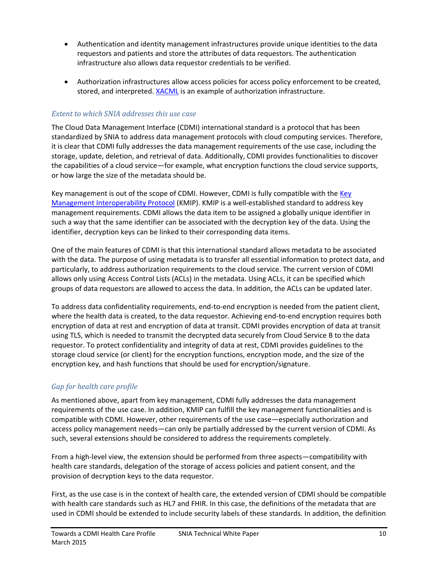- Authentication and identity management infrastructures provide unique identities to the data requestors and patients and store the attributes of data requestors. The authentication infrastructure also allows data requestor credentials to be verified.
- Authorization infrastructures allow access policies for access policy enforcement to be created, stored, and interpreted. [XACML](https://www.oasis-open.org/committees/xacml/) is an example of authorization infrastructure.

#### *Extent to which SNIA addresses this use case*

The Cloud Data Management Interface (CDMI) international standard is a protocol that has been standardized by SNIA to address data management protocols with cloud computing services. Therefore, it is clear that CDMI fully addresses the data management requirements of the use case, including the storage, update, deletion, and retrieval of data. Additionally, CDMI provides functionalities to discover the capabilities of a cloud service—for example, what encryption functions the cloud service supports, or how large the size of the metadata should be.

Key management is out of the scope of CDMI. However, CDMI is fully compatible with the [Key](https://www.oasis-open.org/committees/kmip/)  [Management Interoperability Protocol](https://www.oasis-open.org/committees/kmip/) (KMIP). KMIP is a well-established standard to address key management requirements. CDMI allows the data item to be assigned a globally unique identifier in such a way that the same identifier can be associated with the decryption key of the data. Using the identifier, decryption keys can be linked to their corresponding data items.

One of the main features of CDMI is that this international standard allows metadata to be associated with the data. The purpose of using metadata is to transfer all essential information to protect data, and particularly, to address authorization requirements to the cloud service. The current version of CDMI allows only using Access Control Lists (ACLs) in the metadata. Using ACLs, it can be specified which groups of data requestors are allowed to access the data. In addition, the ACLs can be updated later.

To address data confidentiality requirements, end-to-end encryption is needed from the patient client, where the health data is created, to the data requestor. Achieving end-to-end encryption requires both encryption of data at rest and encryption of data at transit. CDMI provides encryption of data at transit using TLS, which is needed to transmit the decrypted data securely from Cloud Service B to the data requestor. To protect confidentiality and integrity of data at rest, CDMI provides guidelines to the storage cloud service (or client) for the encryption functions, encryption mode, and the size of the encryption key, and hash functions that should be used for encryption/signature.

#### *Gap for health care profile*

As mentioned above, apart from key management, CDMI fully addresses the data management requirements of the use case. In addition, KMIP can fulfill the key management functionalities and is compatible with CDMI. However, other requirements of the use case—especially authorization and access policy management needs—can only be partially addressed by the current version of CDMI. As such, several extensions should be considered to address the requirements completely.

From a high-level view, the extension should be performed from three aspects—compatibility with health care standards, delegation of the storage of access policies and patient consent, and the provision of decryption keys to the data requestor.

First, as the use case is in the context of health care, the extended version of CDMI should be compatible with health care standards such as HL7 and FHIR. In this case, the definitions of the metadata that are used in CDMI should be extended to include security labels of these standards. In addition, the definition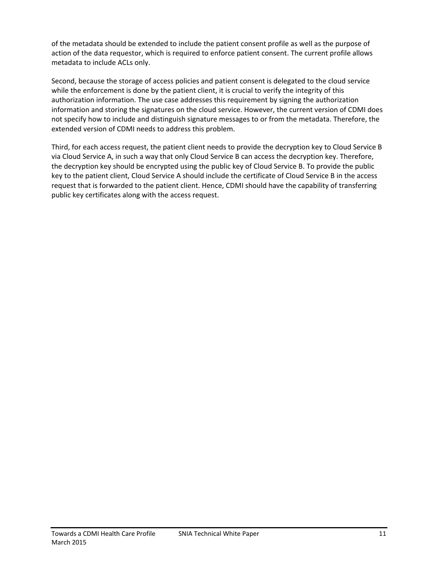of the metadata should be extended to include the patient consent profile as well as the purpose of action of the data requestor, which is required to enforce patient consent. The current profile allows metadata to include ACLs only.

Second, because the storage of access policies and patient consent is delegated to the cloud service while the enforcement is done by the patient client, it is crucial to verify the integrity of this authorization information. The use case addresses this requirement by signing the authorization information and storing the signatures on the cloud service. However, the current version of CDMI does not specify how to include and distinguish signature messages to or from the metadata. Therefore, the extended version of CDMI needs to address this problem.

Third, for each access request, the patient client needs to provide the decryption key to Cloud Service B via Cloud Service A, in such a way that only Cloud Service B can access the decryption key. Therefore, the decryption key should be encrypted using the public key of Cloud Service B. To provide the public key to the patient client, Cloud Service A should include the certificate of Cloud Service B in the access request that is forwarded to the patient client. Hence, CDMI should have the capability of transferring public key certificates along with the access request.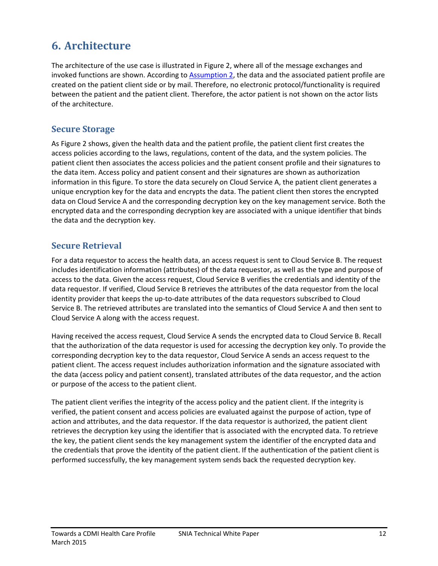# <span id="page-15-0"></span>**6. Architecture**

The architecture of the use case is illustrated in Figure 2, where all of the message exchanges and invoked functions are shown. According to [Assumption 2,](#page-10-2) the data and the associated patient profile are created on the patient client side or by mail. Therefore, no electronic protocol/functionality is required between the patient and the patient client. Therefore, the actor patient is not shown on the actor lists of the architecture.

### <span id="page-15-1"></span>**Secure Storage**

As Figure 2 shows, given the health data and the patient profile, the patient client first creates the access policies according to the laws, regulations, content of the data, and the system policies. The patient client then associates the access policies and the patient consent profile and their signatures to the data item. Access policy and patient consent and their signatures are shown as authorization information in this figure. To store the data securely on Cloud Service A, the patient client generates a unique encryption key for the data and encrypts the data. The patient client then stores the encrypted data on Cloud Service A and the corresponding decryption key on the key management service. Both the encrypted data and the corresponding decryption key are associated with a unique identifier that binds the data and the decryption key.

## <span id="page-15-2"></span>**Secure Retrieval**

For a data requestor to access the health data, an access request is sent to Cloud Service B. The request includes identification information (attributes) of the data requestor, as well as the type and purpose of access to the data. Given the access request, Cloud Service B verifies the credentials and identity of the data requestor. If verified, Cloud Service B retrieves the attributes of the data requestor from the local identity provider that keeps the up-to-date attributes of the data requestors subscribed to Cloud Service B. The retrieved attributes are translated into the semantics of Cloud Service A and then sent to Cloud Service A along with the access request.

Having received the access request, Cloud Service A sends the encrypted data to Cloud Service B. Recall that the authorization of the data requestor is used for accessing the decryption key only. To provide the corresponding decryption key to the data requestor, Cloud Service A sends an access request to the patient client. The access request includes authorization information and the signature associated with the data (access policy and patient consent), translated attributes of the data requestor, and the action or purpose of the access to the patient client.

The patient client verifies the integrity of the access policy and the patient client. If the integrity is verified, the patient consent and access policies are evaluated against the purpose of action, type of action and attributes, and the data requestor. If the data requestor is authorized, the patient client retrieves the decryption key using the identifier that is associated with the encrypted data. To retrieve the key, the patient client sends the key management system the identifier of the encrypted data and the credentials that prove the identity of the patient client. If the authentication of the patient client is performed successfully, the key management system sends back the requested decryption key.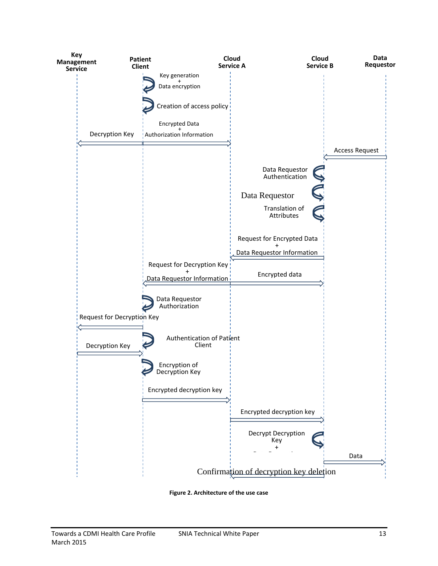

<span id="page-16-0"></span>**Figure 2. Architecture of the use case**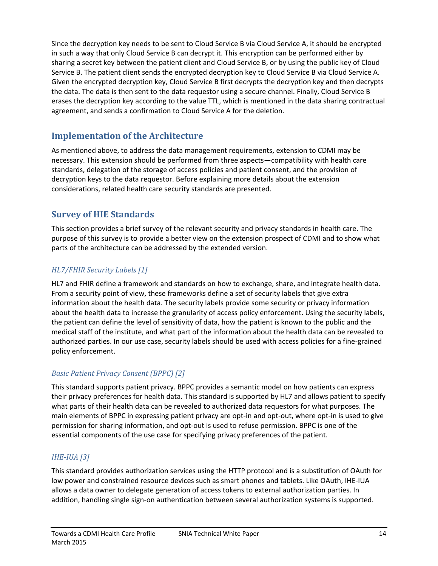Since the decryption key needs to be sent to Cloud Service B via Cloud Service A, it should be encrypted in such a way that only Cloud Service B can decrypt it. This encryption can be performed either by sharing a secret key between the patient client and Cloud Service B, or by using the public key of Cloud Service B. The patient client sends the encrypted decryption key to Cloud Service B via Cloud Service A. Given the encrypted decryption key, Cloud Service B first decrypts the decryption key and then decrypts the data. The data is then sent to the data requestor using a secure channel. Finally, Cloud Service B erases the decryption key according to the value TTL, which is mentioned in the data sharing contractual agreement, and sends a confirmation to Cloud Service A for the deletion.

# <span id="page-17-0"></span>**Implementation of the Architecture**

As mentioned above, to address the data management requirements, extension to CDMI may be necessary. This extension should be performed from three aspects—compatibility with health care standards, delegation of the storage of access policies and patient consent, and the provision of decryption keys to the data requestor. Before explaining more details about the extension considerations, related health care security standards are presented.

# <span id="page-17-1"></span>**Survey of HIE Standards**

This section provides a brief survey of the relevant security and privacy standards in health care. The purpose of this survey is to provide a better view on the extension prospect of CDMI and to show what parts of the architecture can be addressed by the extended version.

### *HL7/FHIR Security Labels [1]*

HL7 and FHIR define a framework and standards on how to exchange, share, and integrate health data. From a security point of view, these frameworks define a set of security labels that give extra information about the health data. The security labels provide some security or privacy information about the health data to increase the granularity of access policy enforcement. Using the security labels, the patient can define the level of sensitivity of data, how the patient is known to the public and the medical staff of the institute, and what part of the information about the health data can be revealed to authorized parties. In our use case, security labels should be used with access policies for a fine-grained policy enforcement.

### *Basic Patient Privacy Consent (BPPC) [2]*

This standard supports patient privacy. BPPC provides a semantic model on how patients can express their privacy preferences for health data. This standard is supported by HL7 and allows patient to specify what parts of their health data can be revealed to authorized data requestors for what purposes. The main elements of BPPC in expressing patient privacy are opt-in and opt-out, where opt-in is used to give permission for sharing information, and opt-out is used to refuse permission. BPPC is one of the essential components of the use case for specifying privacy preferences of the patient.

### *IHE-IUA [3]*

This standard provides authorization services using the HTTP protocol and is a substitution of OAuth for low power and constrained resource devices such as smart phones and tablets. Like OAuth, IHE-IUA allows a data owner to delegate generation of access tokens to external authorization parties. In addition, handling single sign-on authentication between several authorization systems is supported.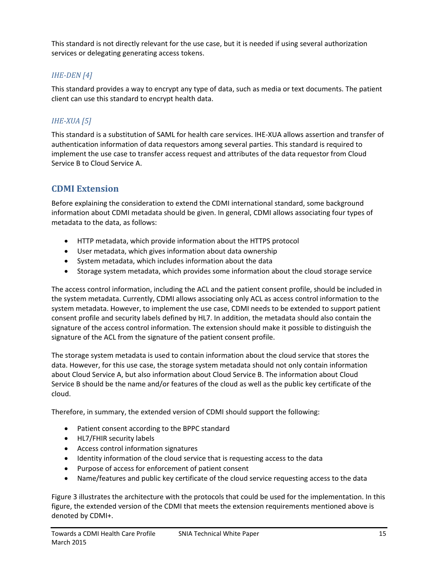This standard is not directly relevant for the use case, but it is needed if using several authorization services or delegating generating access tokens.

### *IHE-DEN [4]*

This standard provides a way to encrypt any type of data, such as media or text documents. The patient client can use this standard to encrypt health data.

### *IHE-XUA [5]*

This standard is a substitution of SAML for health care services. IHE-XUA allows assertion and transfer of authentication information of data requestors among several parties. This standard is required to implement the use case to transfer access request and attributes of the data requestor from Cloud Service B to Cloud Service A.

### <span id="page-18-0"></span>**CDMI Extension**

Before explaining the consideration to extend the CDMI international standard, some background information about CDMI metadata should be given. In general, CDMI allows associating four types of metadata to the data, as follows:

- HTTP metadata, which provide information about the HTTPS protocol
- User metadata, which gives information about data ownership
- System metadata, which includes information about the data
- Storage system metadata, which provides some information about the cloud storage service

The access control information, including the ACL and the patient consent profile, should be included in the system metadata. Currently, CDMI allows associating only ACL as access control information to the system metadata. However, to implement the use case, CDMI needs to be extended to support patient consent profile and security labels defined by HL7. In addition, the metadata should also contain the signature of the access control information. The extension should make it possible to distinguish the signature of the ACL from the signature of the patient consent profile.

The storage system metadata is used to contain information about the cloud service that stores the data. However, for this use case, the storage system metadata should not only contain information about Cloud Service A, but also information about Cloud Service B. The information about Cloud Service B should be the name and/or features of the cloud as well as the public key certificate of the cloud.

Therefore, in summary, the extended version of CDMI should support the following:

- Patient consent according to the BPPC standard
- HL7/FHIR security labels
- Access control information signatures
- Identity information of the cloud service that is requesting access to the data
- Purpose of access for enforcement of patient consent
- Name/features and public key certificate of the cloud service requesting access to the data

Figure 3 illustrates the architecture with the protocols that could be used for the implementation. In this figure, the extended version of the CDMI that meets the extension requirements mentioned above is denoted by CDMI+.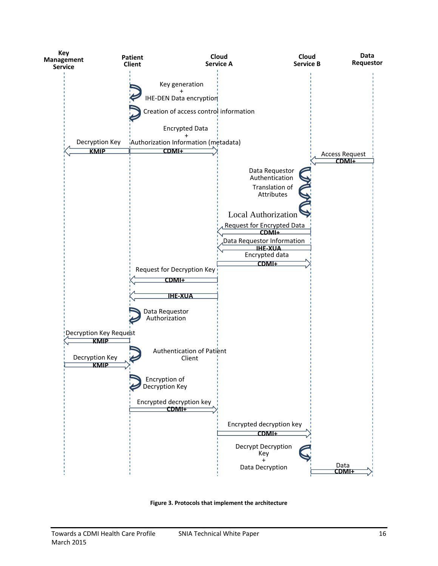

<span id="page-19-0"></span>**Figure 3. Protocols that implement the architecture**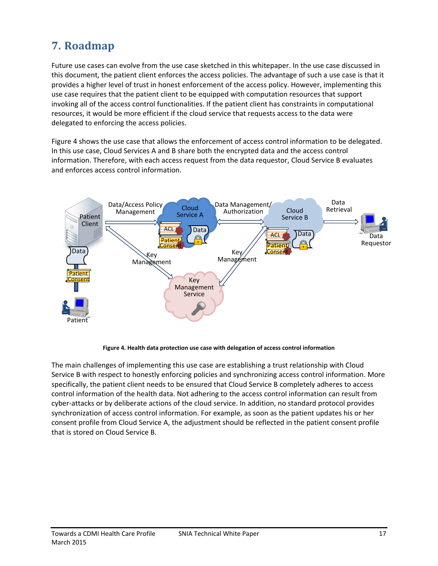# <span id="page-20-0"></span>**7. Roadmap**

Future use cases can evolve from the use case sketched in this whitepaper. In the use case discussed in this document, the patient client enforces the access policies. The advantage of such a use case is that it provides a higher level of trust in honest enforcement of the access policy. However, implementing this use case requires that the patient client to be equipped with computation resources that support invoking all of the access control functionalities. If the patient client has constraints in computational resources, it would be more efficient if the cloud service that requests access to the data were delegated to enforcing the access policies.

[Figure 4](#page-20-1) shows the use case that allows the enforcement of access control information to be delegated. In this use case, Cloud Services A and B share both the encrypted data and the access control information. Therefore, with each access request from the data requestor, Cloud Service B evaluates and enforces access control information.



**Figure 4. Health data protection use case with delegation of access control information**

<span id="page-20-1"></span>The main challenges of implementing this use case are establishing a trust relationship with Cloud Service B with respect to honestly enforcing policies and synchronizing access control information. More specifically, the patient client needs to be ensured that Cloud Service B completely adheres to access control information of the health data. Not adhering to the access control information can result from cyber-attacks or by deliberate actions of the cloud service. In addition, no standard protocol provides synchronization of access control information. For example, as soon as the patient updates his or her consent profile from Cloud Service A, the adjustment should be reflected in the patient consent profile that is stored on Cloud Service B.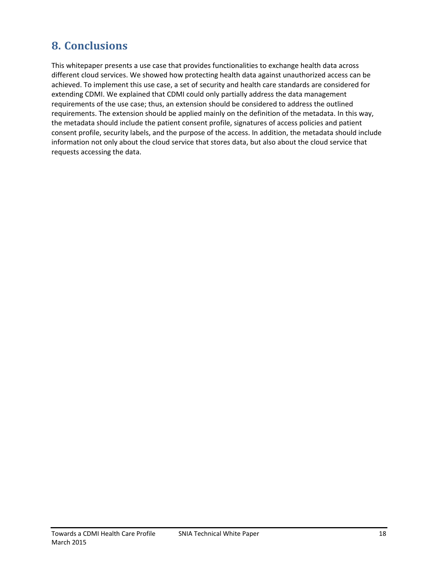# <span id="page-21-0"></span>**8. Conclusions**

This whitepaper presents a use case that provides functionalities to exchange health data across different cloud services. We showed how protecting health data against unauthorized access can be achieved. To implement this use case, a set of security and health care standards are considered for extending CDMI. We explained that CDMI could only partially address the data management requirements of the use case; thus, an extension should be considered to address the outlined requirements. The extension should be applied mainly on the definition of the metadata. In this way, the metadata should include the patient consent profile, signatures of access policies and patient consent profile, security labels, and the purpose of the access. In addition, the metadata should include information not only about the cloud service that stores data, but also about the cloud service that requests accessing the data.